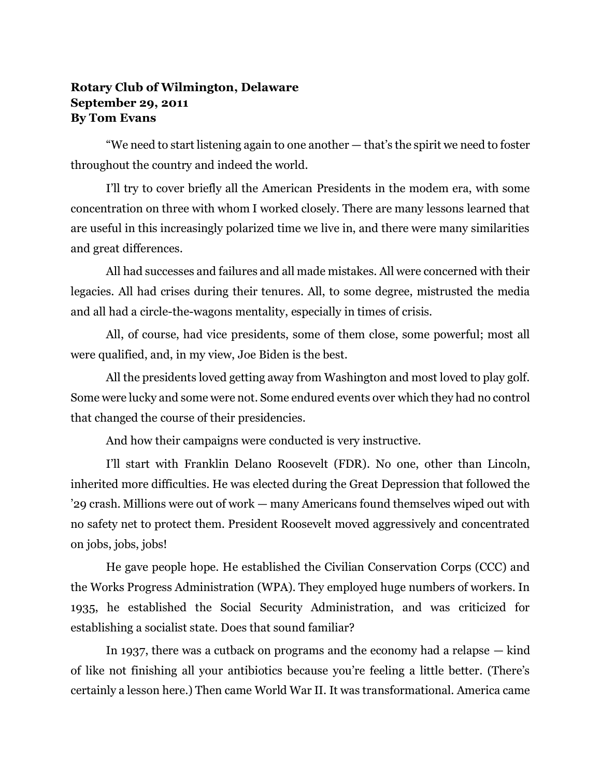## **Rotary Club of Wilmington, Delaware September 29, 2011 By Tom Evans**

"We need to start listening again to one another — that's the spirit we need to foster throughout the country and indeed the world.

I'll try to cover briefly all the American Presidents in the modem era, with some concentration on three with whom I worked closely. There are many lessons learned that are useful in this increasingly polarized time we live in, and there were many similarities and great differences.

All had successes and failures and all made mistakes. All were concerned with their legacies. All had crises during their tenures. All, to some degree, mistrusted the media and all had a circle-the-wagons mentality, especially in times of crisis.

All, of course, had vice presidents, some of them close, some powerful; most all were qualified, and, in my view, Joe Biden is the best.

All the presidents loved getting away from Washington and most loved to play golf. Some were lucky and some were not. Some endured events over which they had no control that changed the course of their presidencies.

And how their campaigns were conducted is very instructive.

I'll start with Franklin Delano Roosevelt (FDR). No one, other than Lincoln, inherited more difficulties. He was elected during the Great Depression that followed the '29 crash. Millions were out of work — many Americans found themselves wiped out with no safety net to protect them. President Roosevelt moved aggressively and concentrated on jobs, jobs, jobs!

He gave people hope. He established the Civilian Conservation Corps (CCC) and the Works Progress Administration (WPA). They employed huge numbers of workers. In 1935, he established the Social Security Administration, and was criticized for establishing a socialist state. Does that sound familiar?

In 1937, there was a cutback on programs and the economy had a relapse — kind of like not finishing all your antibiotics because you're feeling a little better. (There's certainly a lesson here.) Then came World War II. It was transformational. America came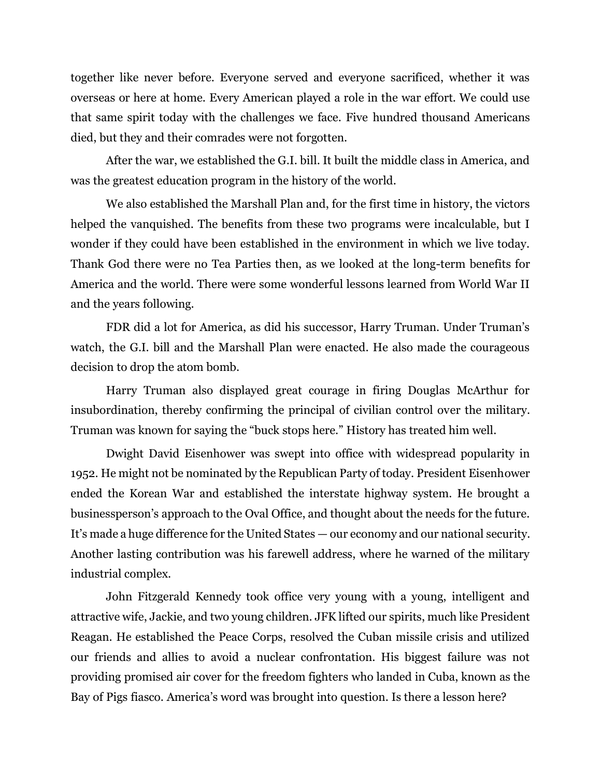together like never before. Everyone served and everyone sacrificed, whether it was overseas or here at home. Every American played a role in the war effort. We could use that same spirit today with the challenges we face. Five hundred thousand Americans died, but they and their comrades were not forgotten.

After the war, we established the G.I. bill. It built the middle class in America, and was the greatest education program in the history of the world.

We also established the Marshall Plan and, for the first time in history, the victors helped the vanquished. The benefits from these two programs were incalculable, but I wonder if they could have been established in the environment in which we live today. Thank God there were no Tea Parties then, as we looked at the long-term benefits for America and the world. There were some wonderful lessons learned from World War II and the years following.

FDR did a lot for America, as did his successor, Harry Truman. Under Truman's watch, the G.I. bill and the Marshall Plan were enacted. He also made the courageous decision to drop the atom bomb.

Harry Truman also displayed great courage in firing Douglas McArthur for insubordination, thereby confirming the principal of civilian control over the military. Truman was known for saying the "buck stops here." History has treated him well.

Dwight David Eisenhower was swept into office with widespread popularity in 1952. He might not be nominated by the Republican Party of today. President Eisenhower ended the Korean War and established the interstate highway system. He brought a businessperson's approach to the Oval Office, and thought about the needs for the future. It's made a huge difference for the United States — our economy and our national security. Another lasting contribution was his farewell address, where he warned of the military industrial complex.

John Fitzgerald Kennedy took office very young with a young, intelligent and attractive wife, Jackie, and two young children. JFK lifted our spirits, much like President Reagan. He established the Peace Corps, resolved the Cuban missile crisis and utilized our friends and allies to avoid a nuclear confrontation. His biggest failure was not providing promised air cover for the freedom fighters who landed in Cuba, known as the Bay of Pigs fiasco. America's word was brought into question. Is there a lesson here?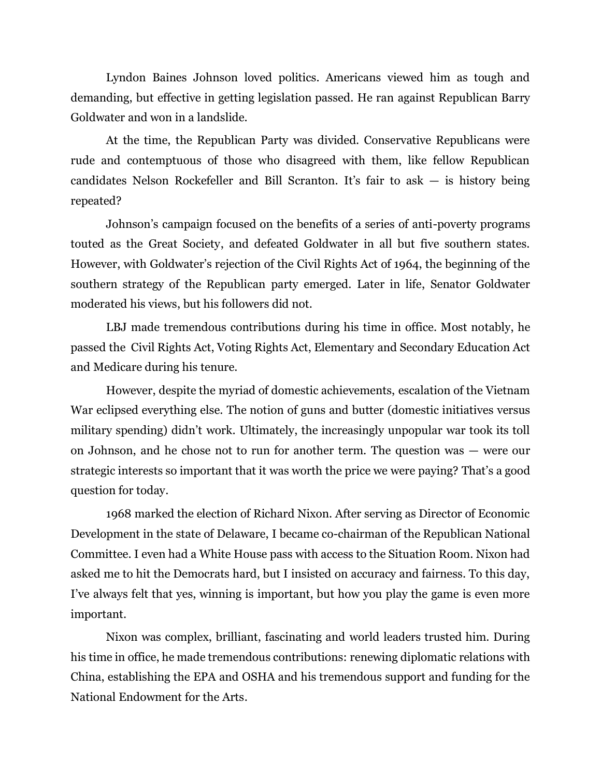Lyndon Baines Johnson loved politics. Americans viewed him as tough and demanding, but effective in getting legislation passed. He ran against Republican Barry Goldwater and won in a landslide.

At the time, the Republican Party was divided. Conservative Republicans were rude and contemptuous of those who disagreed with them, like fellow Republican candidates Nelson Rockefeller and Bill Scranton. It's fair to ask — is history being repeated?

Johnson's campaign focused on the benefits of a series of anti-poverty programs touted as the Great Society, and defeated Goldwater in all but five southern states. However, with Goldwater's rejection of the Civil Rights Act of 1964, the beginning of the southern strategy of the Republican party emerged. Later in life, Senator Goldwater moderated his views, but his followers did not.

LBJ made tremendous contributions during his time in office. Most notably, he passed the Civil Rights Act, Voting Rights Act, Elementary and Secondary Education Act and Medicare during his tenure.

However, despite the myriad of domestic achievements, escalation of the Vietnam War eclipsed everything else. The notion of guns and butter (domestic initiatives versus military spending) didn't work. Ultimately, the increasingly unpopular war took its toll on Johnson, and he chose not to run for another term. The question was — were our strategic interests so important that it was worth the price we were paying? That's a good question for today.

1968 marked the election of Richard Nixon. After serving as Director of Economic Development in the state of Delaware, I became co-chairman of the Republican National Committee. I even had a White House pass with access to the Situation Room. Nixon had asked me to hit the Democrats hard, but I insisted on accuracy and fairness. To this day, I've always felt that yes, winning is important, but how you play the game is even more important.

Nixon was complex, brilliant, fascinating and world leaders trusted him. During his time in office, he made tremendous contributions: renewing diplomatic relations with China, establishing the EPA and OSHA and his tremendous support and funding for the National Endowment for the Arts.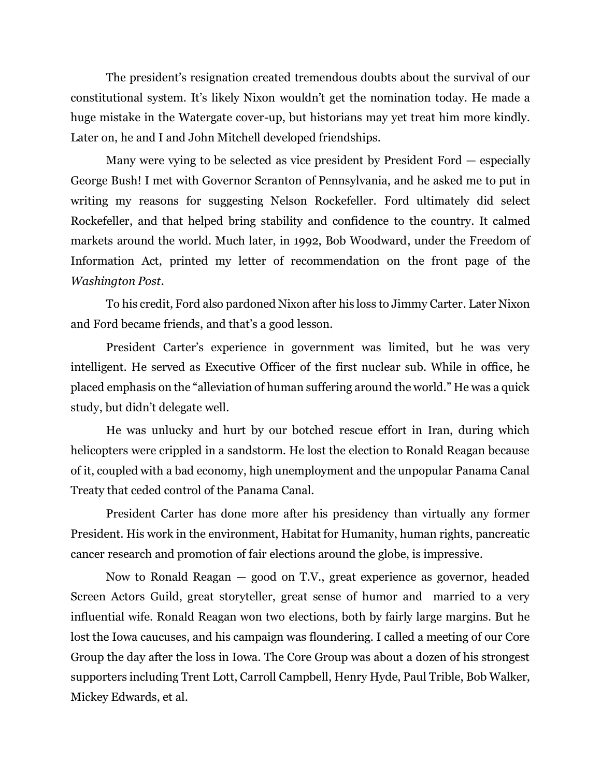The president's resignation created tremendous doubts about the survival of our constitutional system. It's likely Nixon wouldn't get the nomination today. He made a huge mistake in the Watergate cover-up, but historians may yet treat him more kindly. Later on, he and I and John Mitchell developed friendships.

Many were vying to be selected as vice president by President Ford — especially George Bush! I met with Governor Scranton of Pennsylvania, and he asked me to put in writing my reasons for suggesting Nelson Rockefeller. Ford ultimately did select Rockefeller, and that helped bring stability and confidence to the country. It calmed markets around the world. Much later, in 1992, Bob Woodward, under the Freedom of Information Act, printed my letter of recommendation on the front page of the *Washington Post*.

To his credit, Ford also pardoned Nixon after his loss to Jimmy Carter. Later Nixon and Ford became friends, and that's a good lesson.

President Carter's experience in government was limited, but he was very intelligent. He served as Executive Officer of the first nuclear sub. While in office, he placed emphasis on the "alleviation of human suffering around the world." He was a quick study, but didn't delegate well.

He was unlucky and hurt by our botched rescue effort in Iran, during which helicopters were crippled in a sandstorm. He lost the election to Ronald Reagan because of it, coupled with a bad economy, high unemployment and the unpopular Panama Canal Treaty that ceded control of the Panama Canal.

President Carter has done more after his presidency than virtually any former President. His work in the environment, Habitat for Humanity, human rights, pancreatic cancer research and promotion of fair elections around the globe, is impressive.

Now to Ronald Reagan — good on T.V., great experience as governor, headed Screen Actors Guild, great storyteller, great sense of humor and married to a very influential wife. Ronald Reagan won two elections, both by fairly large margins. But he lost the Iowa caucuses, and his campaign was floundering. I called a meeting of our Core Group the day after the loss in Iowa. The Core Group was about a dozen of his strongest supporters including Trent Lott, Carroll Campbell, Henry Hyde, Paul Trible, Bob Walker, Mickey Edwards, et al.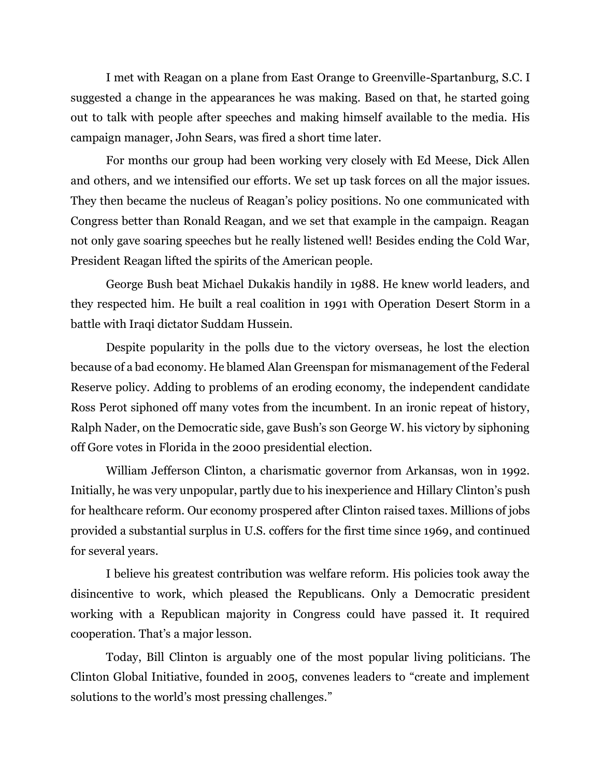I met with Reagan on a plane from East Orange to Greenville-Spartanburg, S.C. I suggested a change in the appearances he was making. Based on that, he started going out to talk with people after speeches and making himself available to the media. His campaign manager, John Sears, was fired a short time later.

For months our group had been working very closely with Ed Meese, Dick Allen and others, and we intensified our efforts. We set up task forces on all the major issues. They then became the nucleus of Reagan's policy positions. No one communicated with Congress better than Ronald Reagan, and we set that example in the campaign. Reagan not only gave soaring speeches but he really listened well! Besides ending the Cold War, President Reagan lifted the spirits of the American people.

George Bush beat Michael Dukakis handily in 1988. He knew world leaders, and they respected him. He built a real coalition in 1991 with Operation Desert Storm in a battle with Iraqi dictator Suddam Hussein.

Despite popularity in the polls due to the victory overseas, he lost the election because of a bad economy. He blamed Alan Greenspan for mismanagement of the Federal Reserve policy. Adding to problems of an eroding economy, the independent candidate Ross Perot siphoned off many votes from the incumbent. In an ironic repeat of history, Ralph Nader, on the Democratic side, gave Bush's son George W. his victory by siphoning off Gore votes in Florida in the 2000 presidential election.

William Jefferson Clinton, a charismatic governor from Arkansas, won in 1992. Initially, he was very unpopular, partly due to his inexperience and Hillary Clinton's push for healthcare reform. Our economy prospered after Clinton raised taxes. Millions of jobs provided a substantial surplus in U.S. coffers for the first time since 1969, and continued for several years.

I believe his greatest contribution was welfare reform. His policies took away the disincentive to work, which pleased the Republicans. Only a Democratic president working with a Republican majority in Congress could have passed it. It required cooperation. That's a major lesson.

Today, Bill Clinton is arguably one of the most popular living politicians. The Clinton Global Initiative, founded in 2005, convenes leaders to "create and implement solutions to the world's most pressing challenges."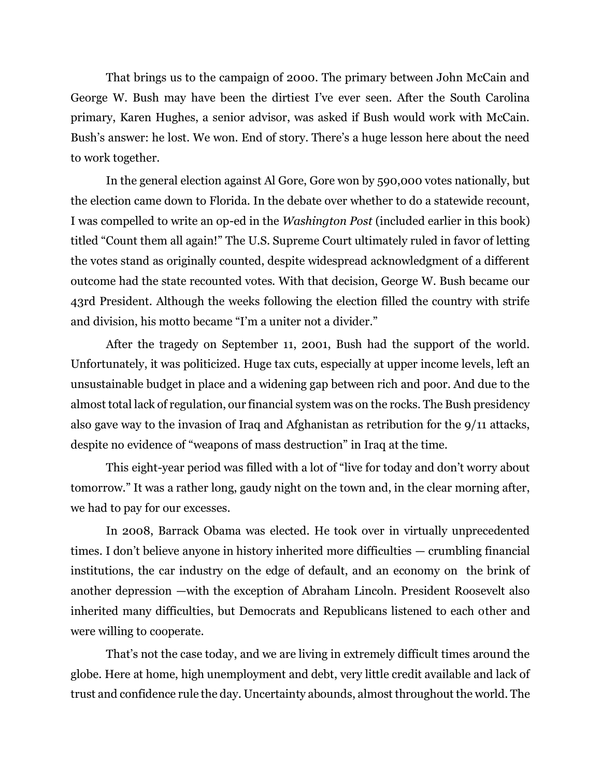That brings us to the campaign of 2000. The primary between John McCain and George W. Bush may have been the dirtiest I've ever seen. After the South Carolina primary, Karen Hughes, a senior advisor, was asked if Bush would work with McCain. Bush's answer: he lost. We won. End of story. There's a huge lesson here about the need to work together.

In the general election against Al Gore, Gore won by 590,000 votes nationally, but the election came down to Florida. In the debate over whether to do a statewide recount, I was compelled to write an op-ed in the *Washington Post* (included earlier in this book) titled "Count them all again!" The U.S. Supreme Court ultimately ruled in favor of letting the votes stand as originally counted, despite widespread acknowledgment of a different outcome had the state recounted votes. With that decision, George W. Bush became our 43rd President. Although the weeks following the election filled the country with strife and division, his motto became "I'm a uniter not a divider."

After the tragedy on September 11, 2001, Bush had the support of the world. Unfortunately, it was politicized. Huge tax cuts, especially at upper income levels, left an unsustainable budget in place and a widening gap between rich and poor. And due to the almost total lack of regulation, our financial system was on the rocks. The Bush presidency also gave way to the invasion of Iraq and Afghanistan as retribution for the 9/11 attacks, despite no evidence of "weapons of mass destruction" in Iraq at the time.

This eight-year period was filled with a lot of "live for today and don't worry about tomorrow." It was a rather long, gaudy night on the town and, in the clear morning after, we had to pay for our excesses.

In 2008, Barrack Obama was elected. He took over in virtually unprecedented times. I don't believe anyone in history inherited more difficulties — crumbling financial institutions, the car industry on the edge of default, and an economy on the brink of another depression —with the exception of Abraham Lincoln. President Roosevelt also inherited many difficulties, but Democrats and Republicans listened to each other and were willing to cooperate.

That's not the case today, and we are living in extremely difficult times around the globe. Here at home, high unemployment and debt, very little credit available and lack of trust and confidence rule the day. Uncertainty abounds, almost throughout the world. The